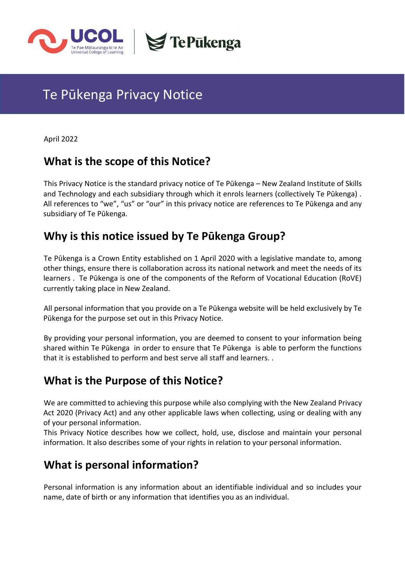

# Te Pūkenga Privacy Notice

April 2022

### **What is the scope of this Notice?**

This Privacy Notice is the standard privacy notice of Te Pūkenga – New Zealand Institute of Skills and Technology and each subsidiary through which it enrols learners (collectively Te Pūkenga) . All references to "we", "us" or "our" in this privacy notice are references to Te Pūkenga and any subsidiary of Te Pūkenga.

**S**TePukenga

# **Why is this notice issued by Te Pūkenga Group?**

Te Pūkenga is a Crown Entity established on 1 April 2020 with a legislative mandate to, among other things, ensure there is collaboration across its national network and meet the needs of its learners . Te Pūkenga is one of the components of the Reform of Vocational Education (RoVE) currently taking place in New Zealand.

All personal information that you provide on a Te Pūkenga website will be held exclusively by Te Pūkenga for the purpose set out in this Privacy Notice.

By providing your personal information, you are deemed to consent to your information being shared within Te Pūkenga in order to ensure that Te Pūkenga is able to perform the functions that it is established to perform and best serve all staff and learners. .

# **What is the Purpose of this Notice?**

We are committed to achieving this purpose while also complying with the New Zealand Privacy Act 2020 (Privacy Act) and any other applicable laws when collecting, using or dealing with any of your personal information.

This Privacy Notice describes how we collect, hold, use, disclose and maintain your personal information. It also describes some of your rights in relation to your personal information.

# **What is personal information?**

Personal information is any information about an identifiable individual and so includes your name, date of birth or any information that identifies you as an individual.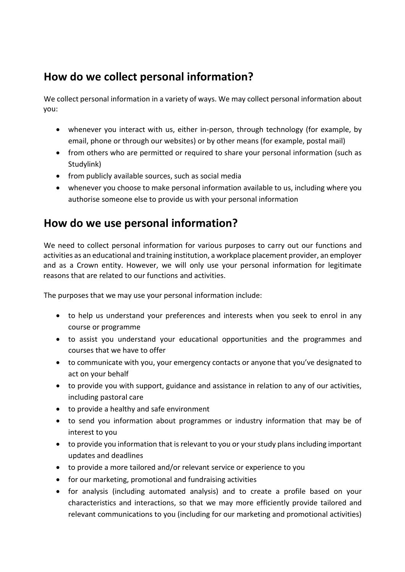# **How do we collect personal information?**

We collect personal information in a variety of ways. We may collect personal information about you:

- whenever you interact with us, either in-person, through technology (for example, by email, phone or through our websites) or by other means (for example, postal mail)
- from others who are permitted or required to share your personal information (such as Studylink)
- from publicly available sources, such as social media
- whenever you choose to make personal information available to us, including where you authorise someone else to provide us with your personal information

# **How do we use personal information?**

We need to collect personal information for various purposes to carry out our functions and activities as an educational and training institution, a workplace placement provider, an employer and as a Crown entity. However, we will only use your personal information for legitimate reasons that are related to our functions and activities.

The purposes that we may use your personal information include:

- to help us understand your preferences and interests when you seek to enrol in any course or programme
- to assist you understand your educational opportunities and the programmes and courses that we have to offer
- to communicate with you, your emergency contacts or anyone that you've designated to act on your behalf
- to provide you with support, guidance and assistance in relation to any of our activities, including pastoral care
- to provide a healthy and safe environment
- to send you information about programmes or industry information that may be of interest to you
- to provide you information that is relevant to you or your study plans including important updates and deadlines
- to provide a more tailored and/or relevant service or experience to you
- for our marketing, promotional and fundraising activities
- for analysis (including automated analysis) and to create a profile based on your characteristics and interactions, so that we may more efficiently provide tailored and relevant communications to you (including for our marketing and promotional activities)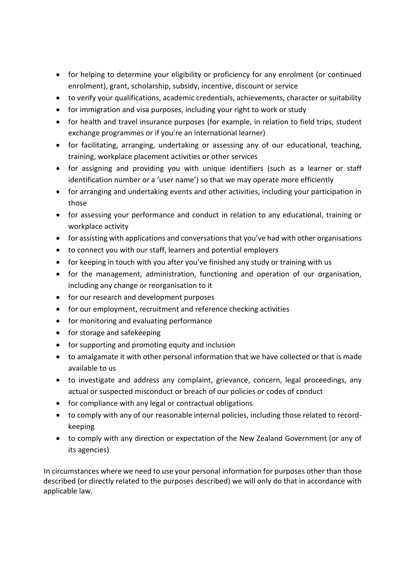- for helping to determine your eligibility or proficiency for any enrolment (or continued enrolment), grant, scholarship, subsidy, incentive, discount or service
- to verify your qualifications, academic credentials, achievements, character or suitability
- for immigration and visa purposes, including your right to work or study
- for health and travel insurance purposes (for example, in relation to field trips, student exchange programmes or if you're an international learner)
- for facilitating, arranging, undertaking or assessing any of our educational, teaching, training, workplace placement activities or other services
- for assigning and providing you with unique identifiers (such as a learner or staff identification number or a 'user name') so that we may operate more efficiently
- for arranging and undertaking events and other activities, including your participation in those
- for assessing your performance and conduct in relation to any educational, training or workplace activity
- for assisting with applications and conversations that you've had with other organisations
- to connect you with our staff, learners and potential employers
- for keeping in touch with you after you've finished any study or training with us
- for the management, administration, functioning and operation of our organisation, including any change or reorganisation to it
- for our research and development purposes
- for our employment, recruitment and reference checking activities
- for monitoring and evaluating performance
- for storage and safekeeping
- for supporting and promoting equity and inclusion
- to amalgamate it with other personal information that we have collected or that is made available to us
- to investigate and address any complaint, grievance, concern, legal proceedings, any actual or suspected misconduct or breach of our policies or codes of conduct
- for compliance with any legal or contractual obligations
- to comply with any of our reasonable internal policies, including those related to recordkeeping
- to comply with any direction or expectation of the New Zealand Government (or any of its agencies)

In circumstances where we need to use your personal information for purposes other than those described (or directly related to the purposes described) we will only do that in accordance with applicable law.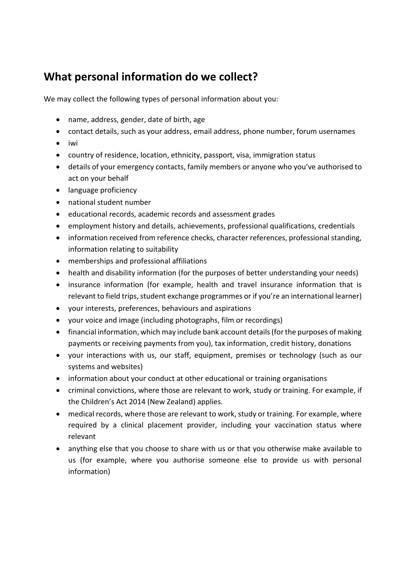# **What personal information do we collect?**

We may collect the following types of personal information about you:

- name, address, gender, date of birth, age
- contact details, such as your address, email address, phone number, forum usernames
- iwi
- country of residence, location, ethnicity, passport, visa, immigration status
- details of your emergency contacts, family members or anyone who you've authorised to act on your behalf
- language proficiency
- national student number
- educational records, academic records and assessment grades
- employment history and details, achievements, professional qualifications, credentials
- information received from reference checks, character references, professional standing, information relating to suitability
- memberships and professional affiliations
- health and disability information (for the purposes of better understanding your needs)
- insurance information (for example, health and travel insurance information that is relevant to field trips, student exchange programmes or if you're an international learner)
- your interests, preferences, behaviours and aspirations
- your voice and image (including photographs, film or recordings)
- financial information, which may include bank account details (for the purposes of making payments or receiving payments from you), tax information, credit history, donations
- your interactions with us, our staff, equipment, premises or technology (such as our systems and websites)
- information about your conduct at other educational or training organisations
- criminal convictions, where those are relevant to work, study or training. For example, if the Children's Act 2014 (New Zealand) applies.
- medical records, where those are relevant to work, study or training. For example, where required by a clinical placement provider, including your vaccination status where relevant
- anything else that you choose to share with us or that you otherwise make available to us (for example, where you authorise someone else to provide us with personal information)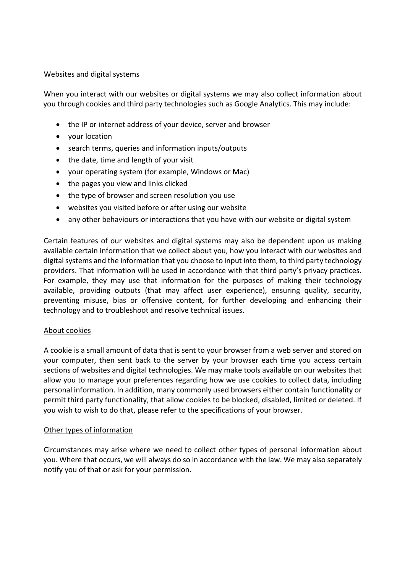#### Websites and digital systems

When you interact with our websites or digital systems we may also collect information about you through cookies and third party technologies such as Google Analytics. This may include:

- the IP or internet address of your device, server and browser
- your location
- search terms, queries and information inputs/outputs
- the date, time and length of your visit
- your operating system (for example, Windows or Mac)
- the pages you view and links clicked
- the type of browser and screen resolution you use
- websites you visited before or after using our website
- any other behaviours or interactions that you have with our website or digital system

Certain features of our websites and digital systems may also be dependent upon us making available certain information that we collect about you, how you interact with our websites and digital systems and the information that you choose to input into them, to third party technology providers. That information will be used in accordance with that third party's privacy practices. For example, they may use that information for the purposes of making their technology available, providing outputs (that may affect user experience), ensuring quality, security, preventing misuse, bias or offensive content, for further developing and enhancing their technology and to troubleshoot and resolve technical issues.

#### About cookies

A cookie is a small amount of data that is sent to your browser from a web server and stored on your computer, then sent back to the server by your browser each time you access certain sections of websites and digital technologies. We may make tools available on our websites that allow you to manage your preferences regarding how we use cookies to collect data, including personal information. In addition, many commonly used browsers either contain functionality or permit third party functionality, that allow cookies to be blocked, disabled, limited or deleted. If you wish to wish to do that, please refer to the specifications of your browser.

#### Other types of information

Circumstances may arise where we need to collect other types of personal information about you. Where that occurs, we will always do so in accordance with the law. We may also separately notify you of that or ask for your permission.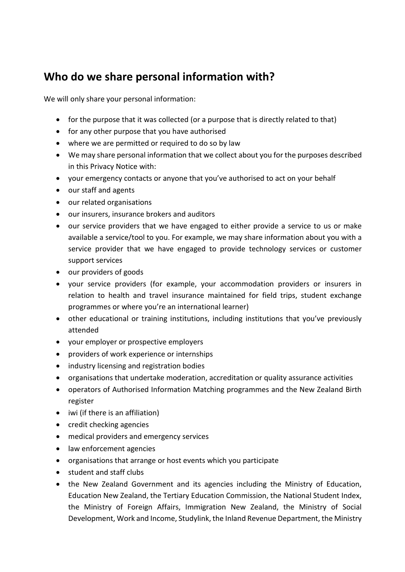# **Who do we share personal information with?**

We will only share your personal information:

- for the purpose that it was collected (or a purpose that is directly related to that)
- for any other purpose that you have authorised
- where we are permitted or required to do so by law
- We may share personal information that we collect about you for the purposes described in this Privacy Notice with:
- your emergency contacts or anyone that you've authorised to act on your behalf
- our staff and agents
- our related organisations
- our insurers, insurance brokers and auditors
- our service providers that we have engaged to either provide a service to us or make available a service/tool to you. For example, we may share information about you with a service provider that we have engaged to provide technology services or customer support services
- our providers of goods
- your service providers (for example, your accommodation providers or insurers in relation to health and travel insurance maintained for field trips, student exchange programmes or where you're an international learner)
- other educational or training institutions, including institutions that you've previously attended
- your employer or prospective employers
- providers of work experience or internships
- industry licensing and registration bodies
- organisations that undertake moderation, accreditation or quality assurance activities
- operators of Authorised Information Matching programmes and the New Zealand Birth register
- iwi (if there is an affiliation)
- credit checking agencies
- medical providers and emergency services
- law enforcement agencies
- organisations that arrange or host events which you participate
- student and staff clubs
- the New Zealand Government and its agencies including the Ministry of Education, Education New Zealand, the Tertiary Education Commission, the National Student Index, the Ministry of Foreign Affairs, Immigration New Zealand, the Ministry of Social Development, Work and Income, Studylink, the Inland Revenue Department, the Ministry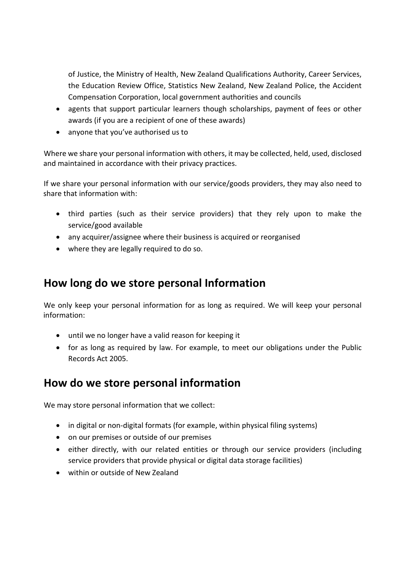of Justice, the Ministry of Health, New Zealand Qualifications Authority, Career Services, the Education Review Office, Statistics New Zealand, New Zealand Police, the Accident Compensation Corporation, local government authorities and councils

- agents that support particular learners though scholarships, payment of fees or other awards (if you are a recipient of one of these awards)
- anyone that you've authorised us to

Where we share your personal information with others, it may be collected, held, used, disclosed and maintained in accordance with their privacy practices.

If we share your personal information with our service/goods providers, they may also need to share that information with:

- third parties (such as their service providers) that they rely upon to make the service/good available
- any acquirer/assignee where their business is acquired or reorganised
- where they are legally required to do so.

### **How long do we store personal Information**

We only keep your personal information for as long as required. We will keep your personal information:

- until we no longer have a valid reason for keeping it
- for as long as required by law. For example, to meet our obligations under the Public Records Act 2005.

#### **How do we store personal information**

We may store personal information that we collect:

- in digital or non-digital formats (for example, within physical filing systems)
- on our premises or outside of our premises
- either directly, with our related entities or through our service providers (including service providers that provide physical or digital data storage facilities)
- within or outside of New Zealand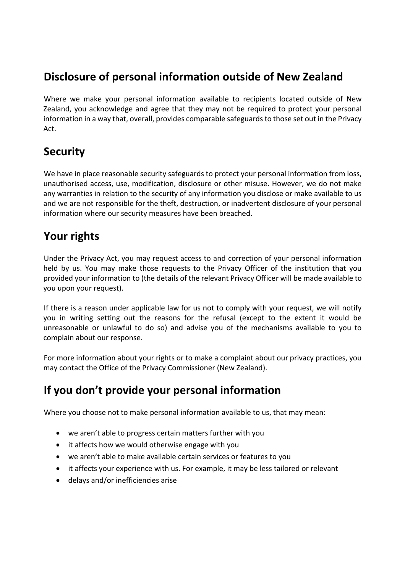# **Disclosure of personal information outside of New Zealand**

Where we make your personal information available to recipients located outside of New Zealand, you acknowledge and agree that they may not be required to protect your personal information in a way that, overall, provides comparable safeguards to those set out in the Privacy Act.

# **Security**

We have in place reasonable security safeguards to protect your personal information from loss, unauthorised access, use, modification, disclosure or other misuse. However, we do not make any warranties in relation to the security of any information you disclose or make available to us and we are not responsible for the theft, destruction, or inadvertent disclosure of your personal information where our security measures have been breached.

# **Your rights**

Under the Privacy Act, you may request access to and correction of your personal information held by us. You may make those requests to the Privacy Officer of the institution that you provided your information to (the details of the relevant Privacy Officer will be made available to you upon your request).

If there is a reason under applicable law for us not to comply with your request, we will notify you in writing setting out the reasons for the refusal (except to the extent it would be unreasonable or unlawful to do so) and advise you of the mechanisms available to you to complain about our response.

For more information about your rights or to make a complaint about our privacy practices, you may contact the Office of the Privacy Commissioner (New Zealand).

# **If you don't provide your personal information**

Where you choose not to make personal information available to us, that may mean:

- we aren't able to progress certain matters further with you
- it affects how we would otherwise engage with you
- we aren't able to make available certain services or features to you
- it affects your experience with us. For example, it may be less tailored or relevant
- delays and/or inefficiencies arise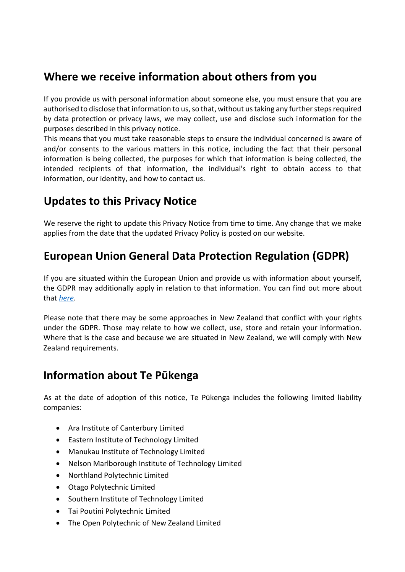# **Where we receive information about others from you**

If you provide us with personal information about someone else, you must ensure that you are authorised to disclose that information to us, so that, without us taking any further steps required by data protection or privacy laws, we may collect, use and disclose such information for the purposes described in this privacy notice.

This means that you must take reasonable steps to ensure the individual concerned is aware of and/or consents to the various matters in this notice, including the fact that their personal information is being collected, the purposes for which that information is being collected, the intended recipients of that information, the individual's right to obtain access to that information, our identity, and how to contact us.

# **Updates to this Privacy Notice**

We reserve the right to update this Privacy Notice from time to time. Any change that we make applies from the date that the updated Privacy Policy is posted on our website.

# **European Union General Data Protection Regulation (GDPR)**

If you are situated within the European Union and provide us with information about yourself, the GDPR may additionally apply in relation to that information. You can find out more about that *[here](http://www.ucol.ac.nz/Documents/Te%20Pukenga%20Privacy%20Policy/Attachment%202(b)%20Privacy%20Notice%20(GDPR)%20-%202022%20April.pdf)*.

Please note that there may be some approaches in New Zealand that conflict with your rights under the GDPR. Those may relate to how we collect, use, store and retain your information. Where that is the case and because we are situated in New Zealand, we will comply with New Zealand requirements.

### **Information about Te Pūkenga**

As at the date of adoption of this notice, Te Pūkenga includes the following limited liability companies:

- Ara Institute of Canterbury Limited
- Eastern Institute of Technology Limited
- Manukau Institute of Technology Limited
- Nelson Marlborough Institute of Technology Limited
- Northland Polytechnic Limited
- Otago Polytechnic Limited
- Southern Institute of Technology Limited
- Tai Poutini Polytechnic Limited
- The Open Polytechnic of New Zealand Limited